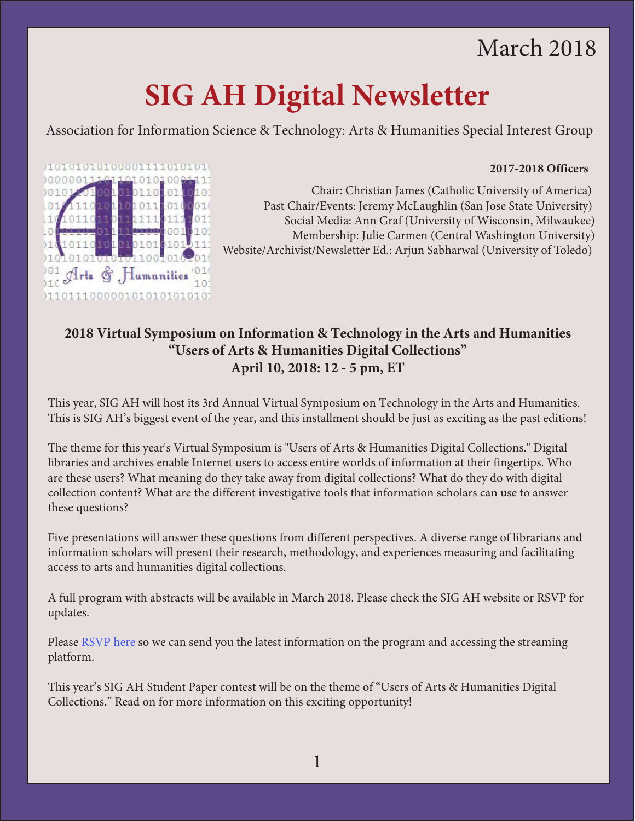# March 2018

# **SIG AH Digital Newsletter**

Association for Information Science & Technology: Arts & Humanities Special Interest Group

#### **2017-2018 Officers**



Chair: Christian James (Catholic University of America) Past Chair/Events: Jeremy McLaughlin (San Jose State University) Social Media: Ann Graf (University of Wisconsin, Milwaukee) Membership: Julie Carmen (Central Washington University) Website/Archivist/Newsletter Ed.: Arjun Sabharwal (University of Toledo)

## **2018 Virtual Symposium on Information & Technology in the Arts and Humanities "Users of Arts & Humanities Digital Collections" April 10, 2018: 12 - 5 pm, ET**

This year, SIG AH will host its 3rd Annual Virtual Symposium on Technology in the Arts and Humanities. This is SIG AH's biggest event of the year, and this installment should be just as exciting as the past editions!

The theme for this year's Virtual Symposium is "Users of Arts & Humanities Digital Collections." Digital libraries and archives enable Internet users to access entire worlds of information at their fingertips. Who are these users? What meaning do they take away from digital collections? What do they do with digital collection content? What are the different investigative tools that information scholars can use to answer these questions?

Five presentations will answer these questions from different perspectives. A diverse range of librarians and information scholars will present their research, methodology, and experiences measuring and facilitating access to arts and humanities digital collections.

A full program with abstracts will be available in March 2018. Please check the SIG AH website or RSVP for updates.

Please [RSVP here s](https://docs.google.com/forms/d/e/1FAIpQLSchRo-A8WGIAJwHHWgUq4TIPWBpRHnuVk-nZ4u-ulj9VeOnGg/viewform)o we can send you the latest information on the program and accessing the streaming platform.

This year's SIG AH Student Paper contest will be on the theme of "Users of Arts & Humanities Digital Collections." Read on for more information on this exciting opportunity!

1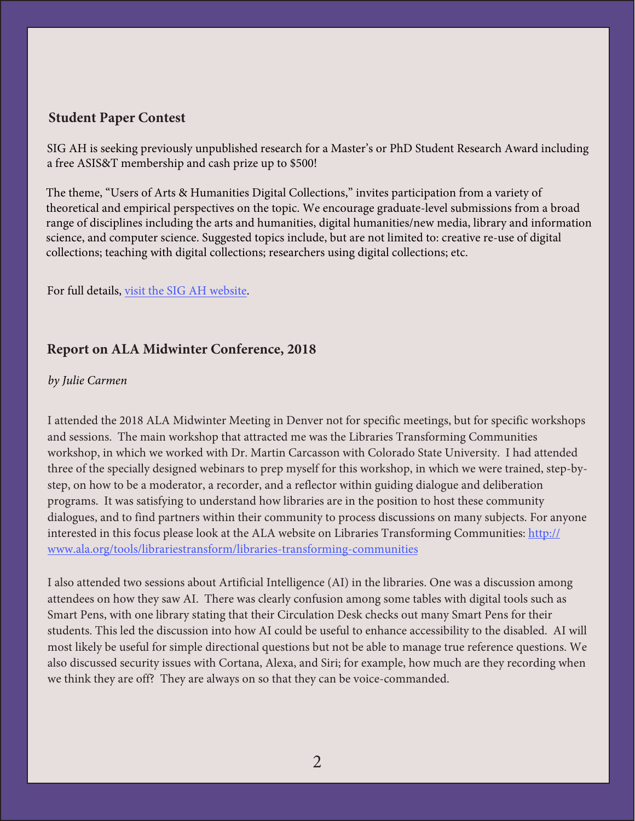#### **Student Paper Contest**

SIG AH is seeking previously unpublished research for a Master's or PhD Student Research Award including a free ASIS&T membership and cash prize up to \$500!

The theme, "Users of Arts & Humanities Digital Collections," invites participation from a variety of theoretical and empirical perspectives on the topic. We encourage graduate-level submissions from a broad range of disciplines including the arts and humanities, digital humanities/new media, library and information science, and computer science. Suggested topics include, but are not limited to: creative re-use of digital collections; teaching with digital collections; researchers using digital collections; etc.

For full details, [visit the SIG AH website.](http://www.asis.org/SIG/SIGAH/2018/02/21/2018-cfsp/)

### **Report on ALA Midwinter Conference, 2018**

#### *by Julie Carmen*

I attended the 2018 ALA Midwinter Meeting in Denver not for specific meetings, but for specific workshops and sessions. The main workshop that attracted me was the Libraries Transforming Communities workshop, in which we worked with Dr. Martin Carcasson with Colorado State University. I had attended three of the specially designed webinars to prep myself for this workshop, in which we were trained, step-bystep, on how to be a moderator, a recorder, and a reflector within guiding dialogue and deliberation programs. It was satisfying to understand how libraries are in the position to host these community dialogues, and to find partners within their community to process discussions on many subjects. For anyone interested in this focus please look at the ALA website on Libraries Transforming Communities: http:// [www.ala.org/tools/librariestransform/libraries-transforming-communities](http://www.ala.org/tools/librariestransform/libraries-transforming-communities)

I also attended two sessions about Artificial Intelligence (AI) in the libraries. One was a discussion among attendees on how they saw AI. There was clearly confusion among some tables with digital tools such as Smart Pens, with one library stating that their Circulation Desk checks out many Smart Pens for their students. This led the discussion into how AI could be useful to enhance accessibility to the disabled. AI will most likely be useful for simple directional questions but not be able to manage true reference questions. We also discussed security issues with Cortana, Alexa, and Siri; for example, how much are they recording when we think they are off? They are always on so that they can be voice-commanded.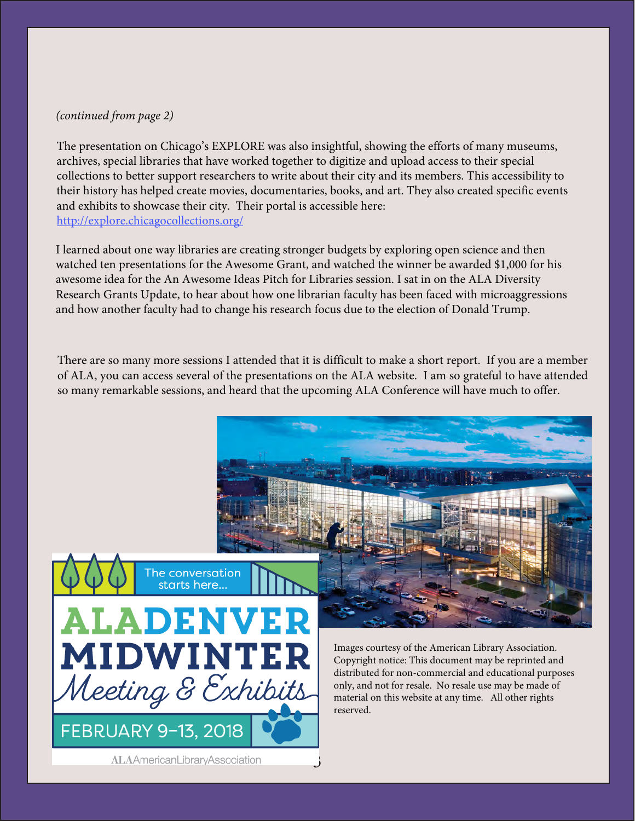#### *(continued from page 2)*

The presentation on Chicago's EXPLORE was also insightful, showing the efforts of many museums, archives, special libraries that have worked together to digitize and upload access to their special collections to better support researchers to write about their city and its members. This accessibility to their history has helped create movies, documentaries, books, and art. They also created specific events and exhibits to showcase their city. Their portal is accessible here: <http://explore.chicagocollections.org/>

I learned about one way libraries are creating stronger budgets by exploring open science and then watched ten presentations for the Awesome Grant, and watched the winner be awarded \$1,000 for his awesome idea for the An Awesome Ideas Pitch for Libraries session. I sat in on the ALA Diversity Research Grants Update, to hear about how one librarian faculty has been faced with microaggressions and how another faculty had to change his research focus due to the election of Donald Trump.

There are so many more sessions I attended that it is difficult to make a short report. If you are a member of ALA, you can access several of the presentations on the ALA website. I am so grateful to have attended so many remarkable sessions, and heard that the upcoming ALA Conference will have much to offer.



3